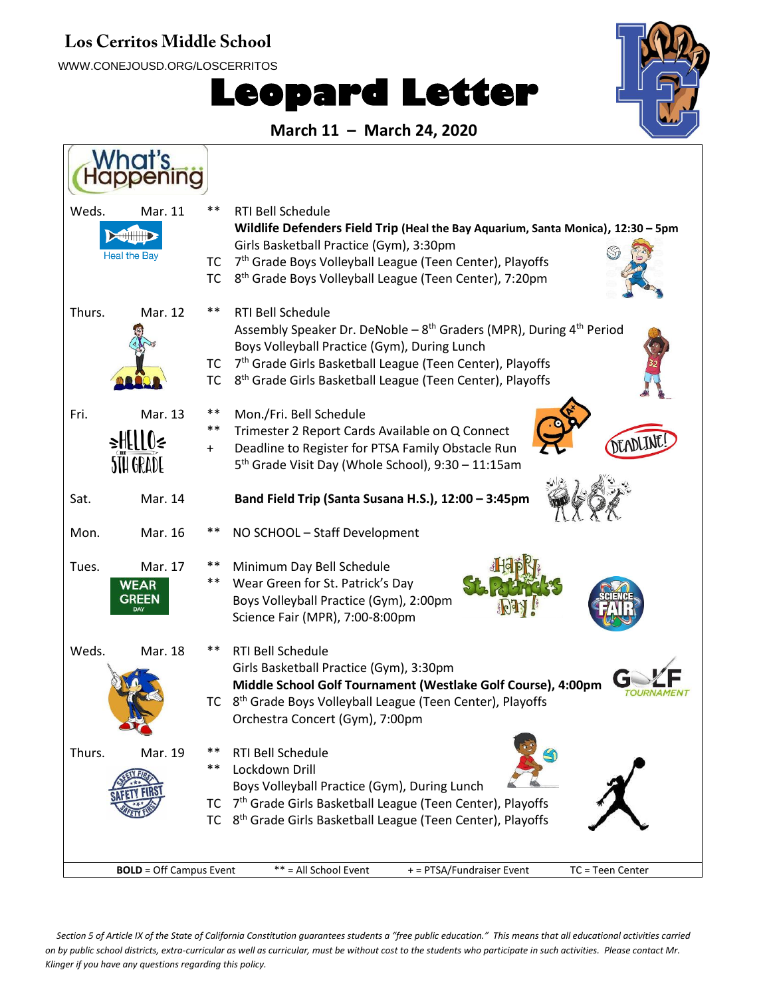## **Los Cerritos Middle School**

WWW.CONEJOUSD.ORG/LOSCERRITOS

## **Leopard Letter**



**March 11 – March 24, 2020**



*Section 5 of Article IX of the State of California Constitution guarantees students a "free public education." This means that all educational activities carried on by public school districts, extra-curricular as well as curricular, must be without cost to the students who participate in such activities. Please contact Mr. Klinger if you have any questions regarding this policy.*